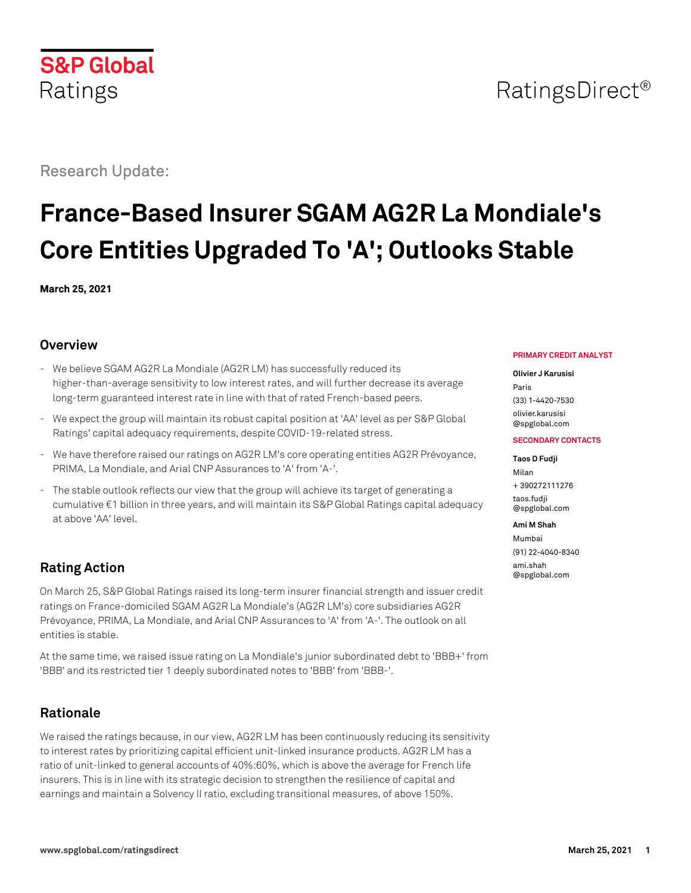## **S&P Global** Ratings

Research Update:

# **France-Based Insurer SGAM AG2R La Mondiale's Core Entities Upgraded To 'A'; Outlooks Stable**

**March 25, 2021**

## **Overview**

- We believe SGAM AG2R La Mondiale (AG2R LM) has successfully reduced its higher-than-average sensitivity to low interest rates, and will further decrease its average long-term guaranteed interest rate in line with that of rated French-based peers.
- We expect the group will maintain its robust capital position at 'AA' level as per S&P Global Ratings' capital adequacy requirements, despite COVID-19-related stress.
- We have therefore raised our ratings on AG2R LM's core operating entities AG2R Prévoyance, PRIMA, La Mondiale, and Arial CNP Assurances to 'A' from 'A-'.
- The stable outlook reflects our view that the group will achieve its target of generating a cumulative €1 billion in three years, and will maintain its S&P Global Ratings capital adequacy at above 'AA' level.

## **Rating Action**

On March 25, S&P Global Ratings raised its long-term insurer financial strength and issuer credit ratings on France-domiciled SGAM AG2R La Mondiale's (AG2R LM's) core subsidiaries AG2R Prévoyance, PRIMA, La Mondiale, and Arial CNP Assurances to 'A' from 'A-'. The outlook on all entities is stable.

At the same time, we raised issue rating on La Mondiale's junior subordinated debt to 'BBB+' from 'BBB' and its restricted tier 1 deeply subordinated notes to 'BBB' from 'BBB-'.

## **Rationale**

We raised the ratings because, in our view, AG2R LM has been continuously reducing its sensitivity to interest rates by prioritizing capital efficient unit-linked insurance products. AG2R LM has a ratio of unit-linked to general accounts of 40%:60%, which is above the average for French life insurers. This is in line with its strategic decision to strengthen the resilience of capital and earnings and maintain a Solvency II ratio, excluding transitional measures, of above 150%.

#### **PRIMARY CREDIT ANALYST**

#### **Olivier J Karusisi**

Paris (33) 1-4420-7530 [olivier.karusisi](mailto:olivier.karusisi@spglobal.com) [@spglobal.com](mailto:olivier.karusisi@spglobal.com)

#### **SECONDARY CONTACTS**

#### **Taos D Fudji**

Milan + 390272111276 [taos.fudji](mailto:taos.fudji@spglobal.com) [@spglobal.com](mailto:taos.fudji@spglobal.com)

#### **Ami M Shah**

Mumbai (91) 22-4040-8340 [ami.shah](mailto:ami.shah@spglobal.com) [@spglobal.com](mailto:ami.shah@spglobal.com)

# RatingsDirect<sup>®</sup>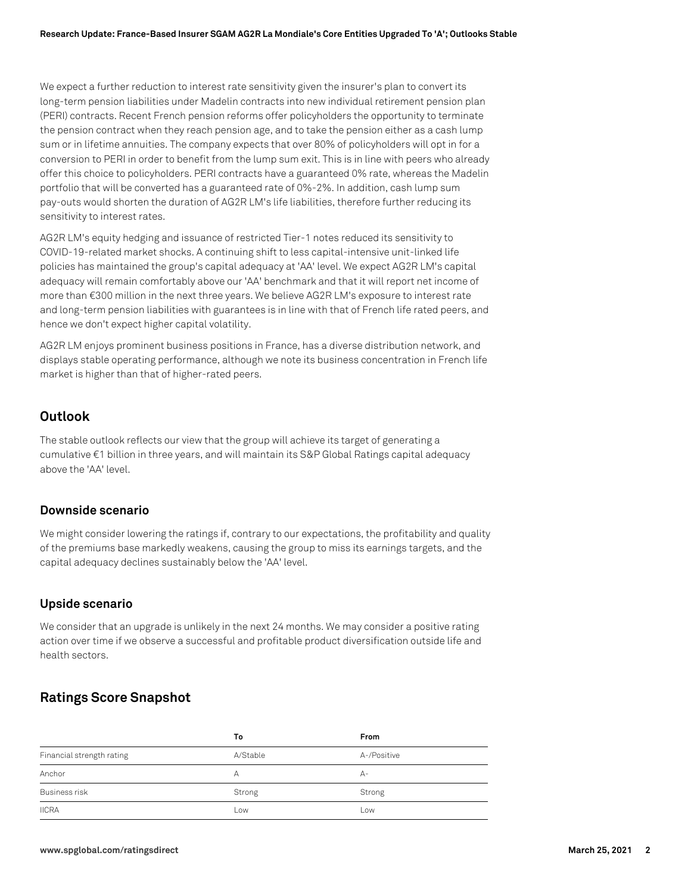We expect a further reduction to interest rate sensitivity given the insurer's plan to convert its long-term pension liabilities under Madelin contracts into new individual retirement pension plan (PERI) contracts. Recent French pension reforms offer policyholders the opportunity to terminate the pension contract when they reach pension age, and to take the pension either as a cash lump sum or in lifetime annuities. The company expects that over 80% of policyholders will opt in for a conversion to PERI in order to benefit from the lump sum exit. This is in line with peers who already offer this choice to policyholders. PERI contracts have a guaranteed 0% rate, whereas the Madelin portfolio that will be converted has a guaranteed rate of 0%-2%. In addition, cash lump sum pay-outs would shorten the duration of AG2R LM's life liabilities, therefore further reducing its sensitivity to interest rates.

AG2R LM's equity hedging and issuance of restricted Tier-1 notes reduced its sensitivity to COVID-19-related market shocks. A continuing shift to less capital-intensive unit-linked life policies has maintained the group's capital adequacy at 'AA' level. We expect AG2R LM's capital adequacy will remain comfortably above our 'AA' benchmark and that it will report net income of more than €300 million in the next three years. We believe AG2R LM's exposure to interest rate and long-term pension liabilities with guarantees is in line with that of French life rated peers, and hence we don't expect higher capital volatility.

AG2R LM enjoys prominent business positions in France, has a diverse distribution network, and displays stable operating performance, although we note its business concentration in French life market is higher than that of higher-rated peers.

#### **Outlook**

The stable outlook reflects our view that the group will achieve its target of generating a cumulative €1 billion in three years, and will maintain its S&P Global Ratings capital adequacy above the 'AA' level.

#### **Downside scenario**

We might consider lowering the ratings if, contrary to our expectations, the profitability and quality of the premiums base markedly weakens, causing the group to miss its earnings targets, and the capital adequacy declines sustainably below the 'AA' level.

#### **Upside scenario**

We consider that an upgrade is unlikely in the next 24 months. We may consider a positive rating action over time if we observe a successful and profitable product diversification outside life and health sectors.

#### **Ratings Score Snapshot**

|                           | Τo       | From        |
|---------------------------|----------|-------------|
| Financial strength rating | A/Stable | A-/Positive |
| Anchor                    | А        | А-          |
| <b>Business risk</b>      | Strong   | Strong      |
| <b>IICRA</b>              | Low      | Low         |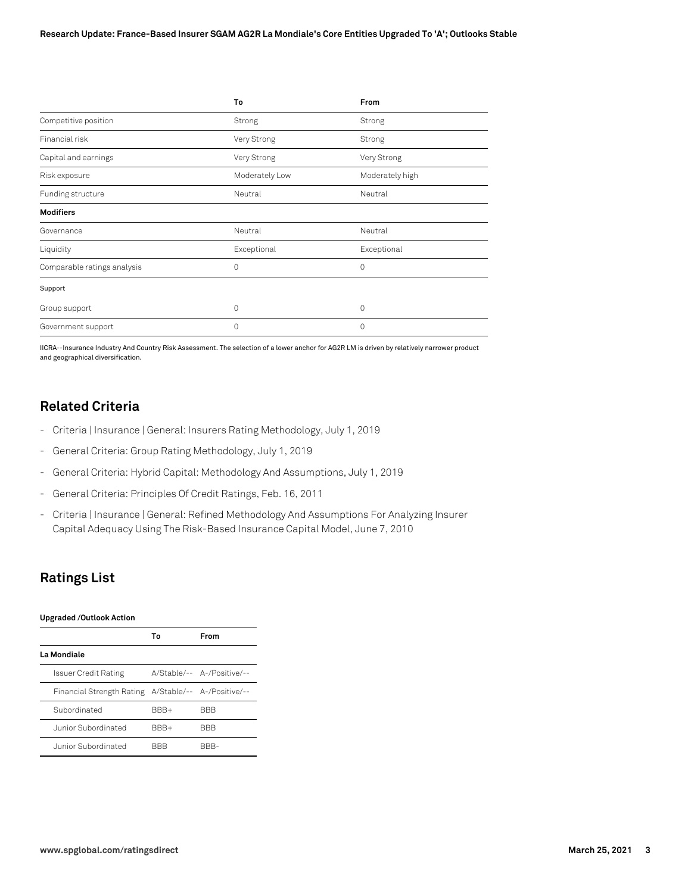|                             | To             | From            |
|-----------------------------|----------------|-----------------|
| Competitive position        | Strong         | Strong          |
| Financial risk              | Very Strong    | Strong          |
| Capital and earnings        | Very Strong    | Very Strong     |
| Risk exposure               | Moderately Low | Moderately high |
| Funding structure           | Neutral        | Neutral         |
| <b>Modifiers</b>            |                |                 |
| Governance                  | Neutral        | Neutral         |
| Liquidity                   | Exceptional    | Exceptional     |
| Comparable ratings analysis | 0              | $\Omega$        |
| Support                     |                |                 |
| Group support               | 0              | $\Omega$        |
| Government support          | $\Omega$       | $\Omega$        |

IICRA--Insurance Industry And Country Risk Assessment. The selection of a lower anchor for AG2R LM is driven by relatively narrower product and geographical diversification.

## **Related Criteria**

- Criteria | Insurance | General: Insurers Rating Methodology, July 1, 2019
- General Criteria: Group Rating Methodology, July 1, 2019
- General Criteria: Hybrid Capital: Methodology And Assumptions, July 1, 2019
- General Criteria: Principles Of Credit Ratings, Feb. 16, 2011
- Criteria | Insurance | General: Refined Methodology And Assumptions For Analyzing Insurer Capital Adequacy Using The Risk-Based Insurance Capital Model, June 7, 2010

### **Ratings List**

#### **Upgraded /Outlook Action**

|                                                      | Т٥   | From                       |
|------------------------------------------------------|------|----------------------------|
| La Mondiale                                          |      |                            |
| Issuer Credit Rating                                 |      | A/Stable/-- A-/Positive/-- |
| Financial Strength Rating A/Stable/-- A-/Positive/-- |      |                            |
| Subordinated                                         | BBB+ | <b>BBB</b>                 |
| Junior Subordinated                                  | BBB+ | <b>BBB</b>                 |
| Junior Subordinated                                  | RRR  | RRR-                       |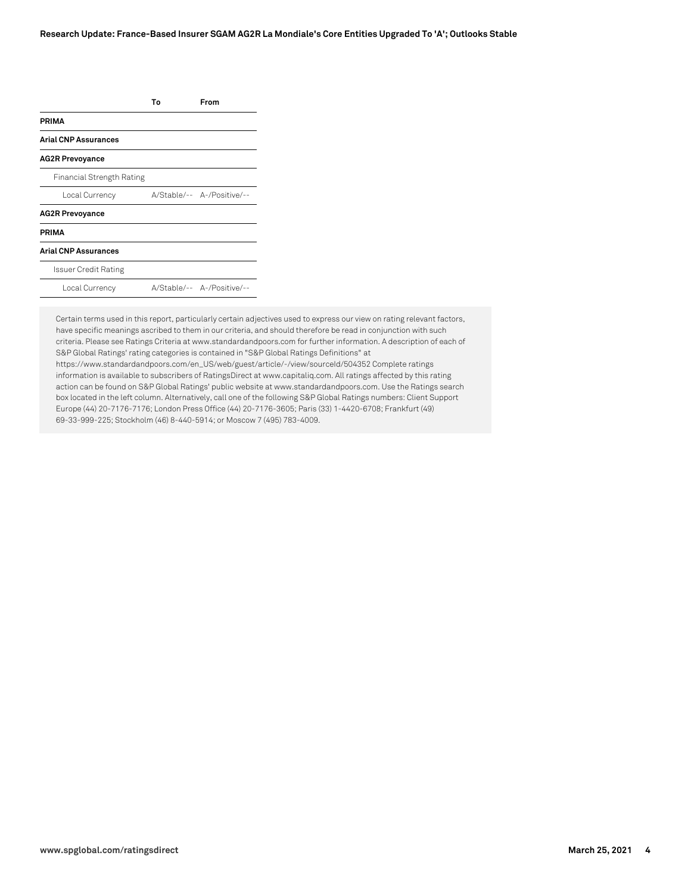|                             | Т٥ | From                       |
|-----------------------------|----|----------------------------|
| <b>PRIMA</b>                |    |                            |
| <b>Arial CNP Assurances</b> |    |                            |
| <b>AG2R Prevoyance</b>      |    |                            |
| Financial Strength Rating   |    |                            |
| Local Currency              |    | A/Stable/-- A-/Positive/-- |
| <b>AG2R Prevoyance</b>      |    |                            |
| <b>PRIMA</b>                |    |                            |
| <b>Arial CNP Assurances</b> |    |                            |
| Issuer Credit Rating        |    |                            |
| Local Currency              |    | A/Stable/-- A-/Positive/-- |
|                             |    |                            |

Certain terms used in this report, particularly certain adjectives used to express our view on rating relevant factors, have specific meanings ascribed to them in our criteria, and should therefore be read in conjunction with such criteria. Please see Ratings Criteria at www.standardandpoors.com for further information. A description of each of S&P Global Ratings' rating categories is contained in "S&P Global Ratings Definitions" at https://www.standardandpoors.com/en\_US/web/guest/article/-/view/sourceId/504352 Complete ratings information is available to subscribers of RatingsDirect at www.capitaliq.com. All ratings affected by this rating action can be found on S&P Global Ratings' public website at www.standardandpoors.com. Use the Ratings search box located in the left column. Alternatively, call one of the following S&P Global Ratings numbers: Client Support Europe (44) 20-7176-7176; London Press Office (44) 20-7176-3605; Paris (33) 1-4420-6708; Frankfurt (49) 69-33-999-225; Stockholm (46) 8-440-5914; or Moscow 7 (495) 783-4009.